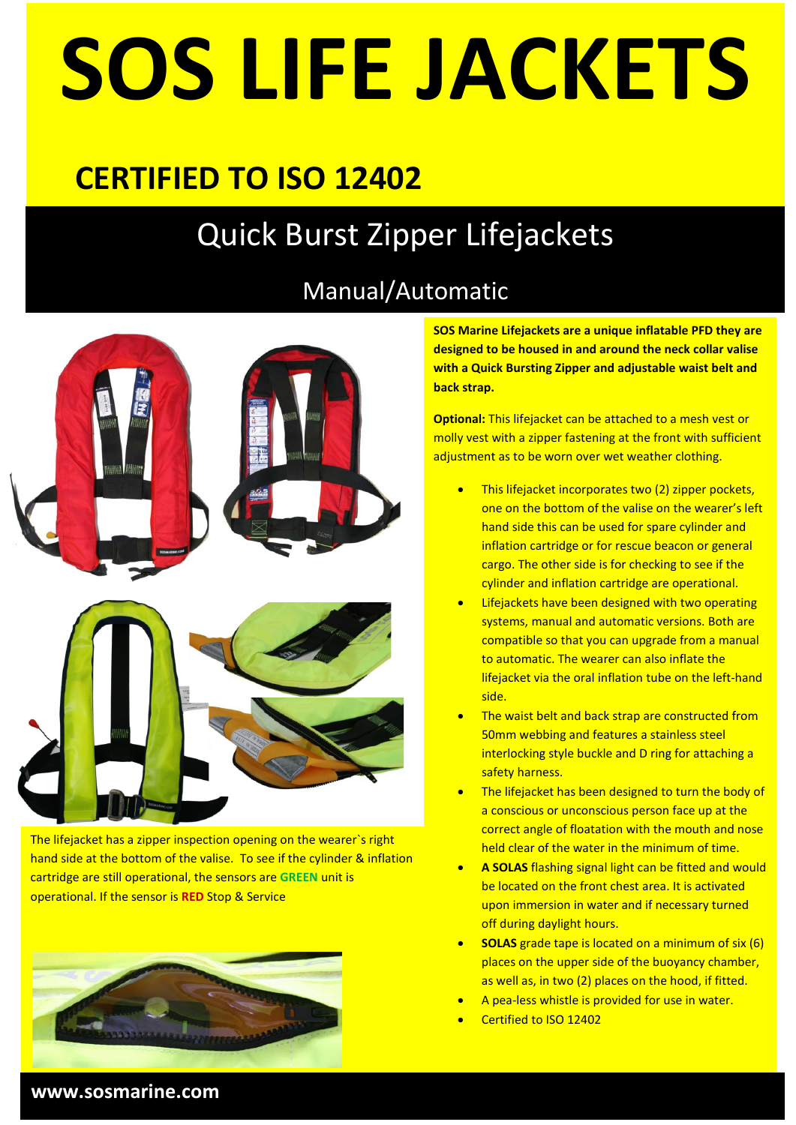# **SOS LIFE JACKETS**

## **CERTIFIED TO ISO 12402**

## Quick Burst Zipper Lifejackets

### Manual/Automatic



The lifejacket has a zipper inspection opening on the wearer`s right hand side at the bottom of the valise. To see if the cylinder & inflation cartridge are still operational, the sensors are **GREEN** unit is operational. If the sensor is **RED** Stop & Service



**SOS Marine Lifejackets are a unique inflatable PFD they are designed to be housed in and around the neck collar valise with a Quick Bursting Zipper and adjustable waist belt and back strap.**

**Optional:** This lifejacket can be attached to a mesh vest or molly vest with a zipper fastening at the front with sufficient adjustment as to be worn over wet weather clothing.

- This lifejacket incorporates two (2) zipper pockets, one on the bottom of the valise on the wearer's left hand side this can be used for spare cylinder and inflation cartridge or for rescue beacon or general cargo. The other side is for checking to see if the cylinder and inflation cartridge are operational.
- Lifejackets have been designed with two operating systems, manual and automatic versions. Both are compatible so that you can upgrade from a manual to automatic. The wearer can also inflate the lifejacket via the oral inflation tube on the left-hand side.
- The waist belt and back strap are constructed from 50mm webbing and features a stainless steel interlocking style buckle and D ring for attaching a safety harness.
- The lifejacket has been designed to turn the body of a conscious or unconscious person face up at the correct angle of floatation with the mouth and nose held clear of the water in the minimum of time.
- **A SOLAS** flashing signal light can be fitted and would be located on the front chest area. It is activated upon immersion in water and if necessary turned off during daylight hours.
- **SOLAS** grade tape is located on a minimum of six (6) places on the upper side of the buoyancy chamber, as well as, in two (2) places on the hood, if fitted.
- A pea-less whistle is provided for use in water.
- Certified to ISO 12402

#### **www.sosmarine.com**